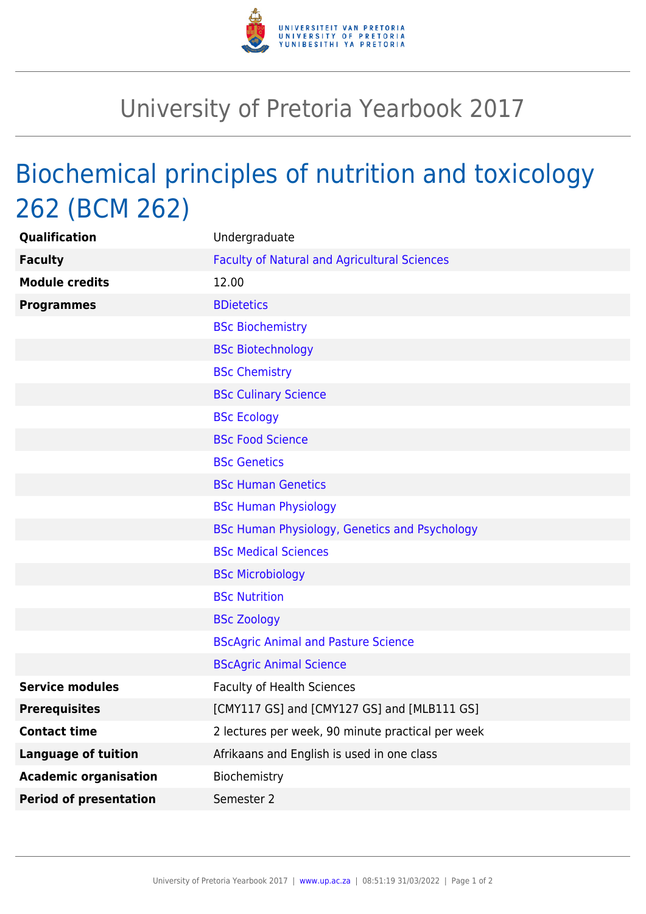

## University of Pretoria Yearbook 2017

## Biochemical principles of nutrition and toxicology 262 (BCM 262)

| <b>Qualification</b>          | Undergraduate                                        |
|-------------------------------|------------------------------------------------------|
| <b>Faculty</b>                | <b>Faculty of Natural and Agricultural Sciences</b>  |
| <b>Module credits</b>         | 12.00                                                |
| <b>Programmes</b>             | <b>BDietetics</b>                                    |
|                               | <b>BSc Biochemistry</b>                              |
|                               | <b>BSc Biotechnology</b>                             |
|                               | <b>BSc Chemistry</b>                                 |
|                               | <b>BSc Culinary Science</b>                          |
|                               | <b>BSc Ecology</b>                                   |
|                               | <b>BSc Food Science</b>                              |
|                               | <b>BSc Genetics</b>                                  |
|                               | <b>BSc Human Genetics</b>                            |
|                               | <b>BSc Human Physiology</b>                          |
|                               | <b>BSc Human Physiology, Genetics and Psychology</b> |
|                               | <b>BSc Medical Sciences</b>                          |
|                               | <b>BSc Microbiology</b>                              |
|                               | <b>BSc Nutrition</b>                                 |
|                               | <b>BSc Zoology</b>                                   |
|                               | <b>BScAgric Animal and Pasture Science</b>           |
|                               | <b>BScAgric Animal Science</b>                       |
| <b>Service modules</b>        | <b>Faculty of Health Sciences</b>                    |
| <b>Prerequisites</b>          | [CMY117 GS] and [CMY127 GS] and [MLB111 GS]          |
| <b>Contact time</b>           | 2 lectures per week, 90 minute practical per week    |
| <b>Language of tuition</b>    | Afrikaans and English is used in one class           |
| <b>Academic organisation</b>  | Biochemistry                                         |
| <b>Period of presentation</b> | Semester 2                                           |